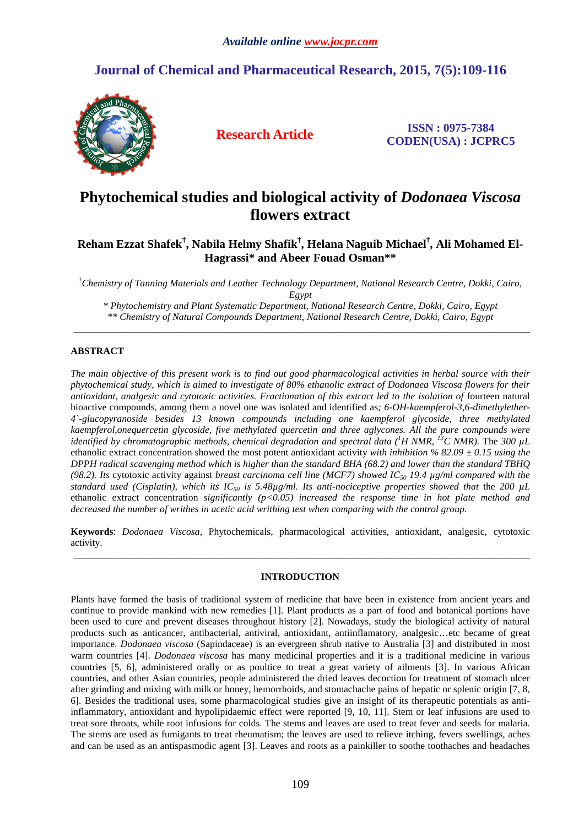## **Journal of Chemical and Pharmaceutical Research, 2015, 7(5):109-116**



**Research Article ISSN : 0975-7384 CODEN(USA) : JCPRC5**

# **Phytochemical studies and biological activity of** *Dodonaea Viscosa* **flowers extract**

## **Reham Ezzat Shafek† , Nabila Helmy Shafik† , Helana Naguib Michael† , Ali Mohamed El-Hagrassi\* and Abeer Fouad Osman\*\***

*†Chemistry of Tanning Materials and Leather Technology Department, National Research Centre, Dokki, Cairo, Egypt* 

*\* Phytochemistry and Plant Systematic Department, National Research Centre, Dokki, Cairo, Egypt \*\* Chemistry of Natural Compounds Department, National Research Centre, Dokki, Cairo, Egypt*  \_\_\_\_\_\_\_\_\_\_\_\_\_\_\_\_\_\_\_\_\_\_\_\_\_\_\_\_\_\_\_\_\_\_\_\_\_\_\_\_\_\_\_\_\_\_\_\_\_\_\_\_\_\_\_\_\_\_\_\_\_\_\_\_\_\_\_\_\_\_\_\_\_\_\_\_\_\_\_\_\_\_\_\_\_\_\_\_\_\_\_\_\_

### **ABSTRACT**

*The main objective of this present work is to find out good pharmacological activities in herbal source with their phytochemical study, which is aimed to investigate of 80% ethanolic extract of Dodonaea Viscosa flowers for their antioxidant, analgesic and cytotoxic activities. Fractionation of this extract led to the isolation of* fourteen natural bioactive compounds, among them a novel one was isolated and identified as*; 6-OH-kaempferol-3,6-dimethylether-4`-glucopyranoside besides 13 known compounds including one kaempferol glycoside, three methylated kaempferol,onequercetin glycoside, five methylated quercetin and three aglycones. All the pure compounds were identified by chromatographic methods, chemical degradation and spectral data (<sup>1</sup>H NMR, <sup>13</sup>C NMR).* The *300 µL*  ethanolic extract concentration showed the most potent antioxidant activity *with inhibition % 82.09 ± 0.15 using the DPPH radical scavenging method which is higher than the standard BHA (68.2) and lower than the standard TBHQ (98.2). Its* cytotoxic activity against *breast carcinoma cell line (MCF7) showed IC50 19.4 µg/ml compared with the standard used (Cisplatin), which its IC50 is 5.48µg/ml. Its anti-nociceptive properties showed that* the *200 µL*  ethanolic extract concentration *significantly (p<0.05) increased the response time in hot plate method and decreased the number of writhes in acetic acid writhing test when comparing with the control group.* 

**Keywords**: *Dodonaea Viscosa*, Phytochemicals, pharmacological activities, antioxidant, analgesic, cytotoxic activity. \_\_\_\_\_\_\_\_\_\_\_\_\_\_\_\_\_\_\_\_\_\_\_\_\_\_\_\_\_\_\_\_\_\_\_\_\_\_\_\_\_\_\_\_\_\_\_\_\_\_\_\_\_\_\_\_\_\_\_\_\_\_\_\_\_\_\_\_\_\_\_\_\_\_\_\_\_\_\_\_\_\_\_\_\_\_\_\_\_\_\_\_\_

### **INTRODUCTION**

Plants have formed the basis of traditional system of medicine that have been in existence from ancient years and continue to provide mankind with new remedies [1]. Plant products as a part of food and botanical portions have been used to cure and prevent diseases throughout history [2]. Nowadays, study the biological activity of natural products such as anticancer, antibacterial, antiviral, antioxidant, antiinflamatory, analgesic…etc became of great importance. *Dodonaea viscosa* (Sapindaceae) is an evergreen shrub native to Australia [3] and distributed in most warm countries [4]. *Dodonaea viscosa* has many medicinal properties and it is a traditional medicine in various countries [5, 6], administered orally or as poultice to treat a great variety of ailments [3]. In various African countries, and other Asian countries, people administered the dried leaves decoction for treatment of stomach ulcer after grinding and mixing with milk or honey, hemorrhoids, and stomachache pains of hepatic or splenic origin [7, 8, 6]. Besides the traditional uses, some pharmacological studies give an insight of its therapeutic potentials as antiinflammatory, antioxidant and hypolipidaemic effect were reported [9, 10, 11]. Stem or leaf infusions are used to treat sore throats, while root infusions for colds. The stems and leaves are used to treat fever and seeds for malaria. The stems are used as fumigants to treat rheumatism; the leaves are used to relieve itching, fevers swellings, aches and can be used as an antispasmodic agent [3]. Leaves and roots as a painkiller to soothe toothaches and headaches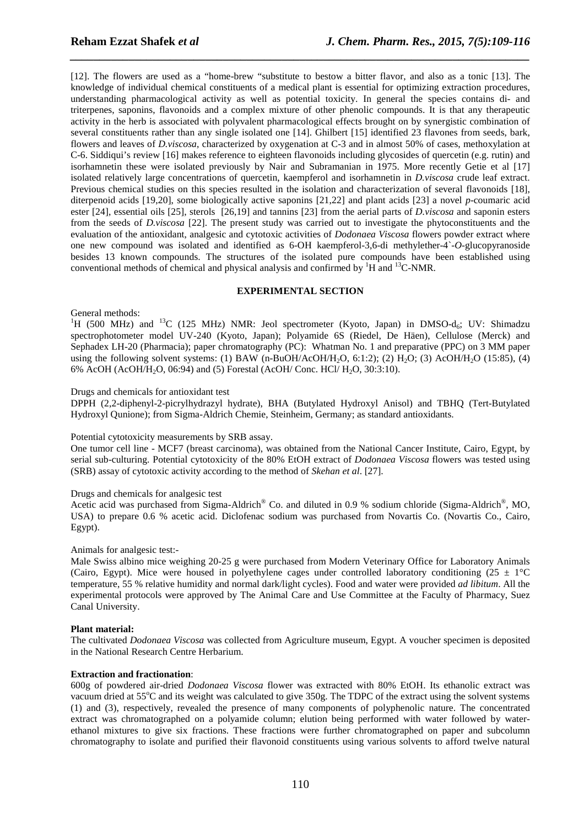[12]. The flowers are used as a "home-brew "substitute to bestow a bitter flavor, and also as a tonic [13]. The knowledge of individual chemical constituents of a medical plant is essential for optimizing extraction procedures, understanding pharmacological activity as well as potential toxicity. In general the species contains di- and triterpenes, saponins, flavonoids and a complex mixture of other phenolic compounds. It is that any therapeutic activity in the herb is associated with polyvalent pharmacological effects brought on by synergistic combination of several constituents rather than any single isolated one [14]. Ghilbert [15] identified 23 flavones from seeds, bark, flowers and leaves of *D.viscosa*, characterized by oxygenation at C-3 and in almost 50% of cases, methoxylation at C-6. Siddiqui's review [16] makes reference to eighteen flavonoids including glycosides of quercetin (e.g. rutin) and isorhamnetin these were isolated previously by Nair and Subramanian in 1975. More recently Getie et al [17] isolated relatively large concentrations of quercetin, kaempferol and isorhamnetin in *D.viscosa* crude leaf extract. Previous chemical studies on this species resulted in the isolation and characterization of several flavonoids [18], diterpenoid acids [19,20], some biologically active saponins [21,22] and plant acids [23] a novel *p*-coumaric acid ester [24], essential oils [25], sterols [26,19] and tannins [23] from the aerial parts of *D.viscosa* and saponin esters from the seeds of *D.viscosa* [22]. The present study was carried out to investigate the phytoconstituents and the evaluation of the antioxidant, analgesic and cytotoxic activities of *Dodonaea Viscosa* flowers powder extract where one new compound was isolated and identified as 6-OH kaempferol-3,6-di methylether-4`-*O*-glucopyranoside besides 13 known compounds. The structures of the isolated pure compounds have been established using conventional methods of chemical and physical analysis and confirmed by <sup>1</sup>H and <sup>13</sup>C-NMR.

*\_\_\_\_\_\_\_\_\_\_\_\_\_\_\_\_\_\_\_\_\_\_\_\_\_\_\_\_\_\_\_\_\_\_\_\_\_\_\_\_\_\_\_\_\_\_\_\_\_\_\_\_\_\_\_\_\_\_\_\_\_\_\_\_\_\_\_\_\_\_\_\_\_\_\_\_\_\_*

#### **EXPERIMENTAL SECTION**

#### General methods:

<sup>1</sup>H (500 MHz) and <sup>13</sup>C (125 MHz) NMR: Jeol spectrometer (Kyoto, Japan) in DMSO-d<sub>6</sub>; UV: Shimadzu spectrophotometer model UV-240 (Kyoto, Japan); Polyamide 6S (Riedel, De Häen), Cellulose (Merck) and Sephadex LH-20 (Pharmacia); paper chromatography (PC): Whatman No. 1 and preparative (PPC) on 3 MM paper using the following solvent systems: (1) BAW (n-BuOH/AcOH/H<sub>2</sub>O, 6:1:2); (2) H<sub>2</sub>O; (3) AcOH/H<sub>2</sub>O (15:85), (4) 6% AcOH (AcOH/H<sub>2</sub>O, 06:94) and (5) Forestal (AcOH/ Conc. HCl/ H<sub>2</sub>O, 30:3:10).

#### Drugs and chemicals for antioxidant test

DPPH (2,2-diphenyl-2-picrylhydrazyl hydrate), BHA (Butylated Hydroxyl Anisol) and TBHQ (Tert-Butylated Hydroxyl Qunione); from Sigma-Aldrich Chemie, Steinheim, Germany; as standard antioxidants.

#### Potential cytotoxicity measurements by SRB assay.

One tumor cell line - MCF7 (breast carcinoma), was obtained from the National Cancer Institute, Cairo, Egypt, by serial sub-culturing. Potential cytotoxicity of the 80% EtOH extract of *Dodonaea Viscosa* flowers was tested using (SRB) assay of cytotoxic activity according to the method of *Skehan et al*. [27].

#### Drugs and chemicals for analgesic test

Acetic acid was purchased from Sigma-Aldrich® Co. and diluted in 0.9 % sodium chloride (Sigma-Aldrich®, MO, USA) to prepare 0.6 % acetic acid. Diclofenac sodium was purchased from Novartis Co. (Novartis Co., Cairo, Egypt).

#### Animals for analgesic test:-

Male Swiss albino mice weighing 20-25 g were purchased from Modern Veterinary Office for Laboratory Animals (Cairo, Egypt). Mice were housed in polyethylene cages under controlled laboratory conditioning (25  $\pm$  1°C) temperature, 55 % relative humidity and normal dark/light cycles). Food and water were provided *ad libitum*. All the experimental protocols were approved by The Animal Care and Use Committee at the Faculty of Pharmacy, Suez Canal University.

#### **Plant material:**

The cultivated *Dodonaea Viscosa* was collected from Agriculture museum, Egypt. A voucher specimen is deposited in the National Research Centre Herbarium.

#### **Extraction and fractionation**:

600g of powdered air-dried *Dodonaea Viscosa* flower was extracted with 80% EtOH. Its ethanolic extract was vacuum dried at  $55^{\circ}$ C and its weight was calculated to give  $350g$ . The TDPC of the extract using the solvent systems (1) and (3), respectively, revealed the presence of many components of polyphenolic nature. The concentrated extract was chromatographed on a polyamide column; elution being performed with water followed by waterethanol mixtures to give six fractions. These fractions were further chromatographed on paper and subcolumn chromatography to isolate and purified their flavonoid constituents using various solvents to afford twelve natural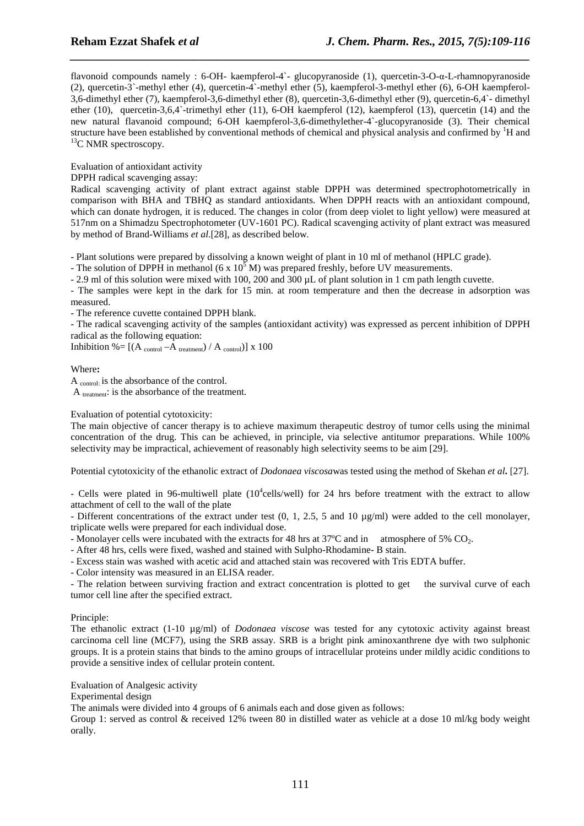flavonoid compounds namely : 6-OH- kaempferol-4`- glucopyranoside (1), quercetin-3-O-α-L-rhamnopyranoside (2), quercetin-3`-methyl ether (4), quercetin-4`-methyl ether (5), kaempferol-3-methyl ether (6), 6-OH kaempferol-3,6-dimethyl ether (7), kaempferol-3,6-dimethyl ether (8), quercetin-3,6-dimethyl ether (9), quercetin-6,4`- dimethyl ether (10), quercetin-3,6,4`-trimethyl ether (11), 6-OH kaempferol (12), kaempferol (13), quercetin (14) and the new natural flavanoid compound; 6-OH kaempferol-3,6-dimethylether-4`-glucopyranoside (3). Their chemical structure have been established by conventional methods of chemical and physical analysis and confirmed by  ${}^{1}H$  and  ${}^{13}C$  NMR spectroscopy.

*\_\_\_\_\_\_\_\_\_\_\_\_\_\_\_\_\_\_\_\_\_\_\_\_\_\_\_\_\_\_\_\_\_\_\_\_\_\_\_\_\_\_\_\_\_\_\_\_\_\_\_\_\_\_\_\_\_\_\_\_\_\_\_\_\_\_\_\_\_\_\_\_\_\_\_\_\_\_*

Evaluation of antioxidant activity

DPPH radical scavenging assay:

Radical scavenging activity of plant extract against stable DPPH was determined spectrophotometrically in comparison with BHA and TBHQ as standard antioxidants. When DPPH reacts with an antioxidant compound, which can donate hydrogen, it is reduced. The changes in color (from deep violet to light yellow) were measured at 517nm on a Shimadzu Spectrophotometer (UV-1601 PC). Radical scavenging activity of plant extract was measured by method of Brand-Williams *et al*.[28], as described below.

- Plant solutions were prepared by dissolving a known weight of plant in 10 ml of methanol (HPLC grade).

- The solution of DPPH in methanol (6 x  $10^5$  M) was prepared freshly, before UV measurements.

- 2.9 ml of this solution were mixed with 100, 200 and 300 µL of plant solution in 1 cm path length cuvette.

- The samples were kept in the dark for 15 min. at room temperature and then the decrease in adsorption was measured.

- The reference cuvette contained DPPH blank.

- The radical scavenging activity of the samples (antioxidant activity) was expressed as percent inhibition of DPPH radical as the following equation:

Inhibition %=  $[(A_{control} - A_{treatment}) / A_{control}]$  x 100

Where**:** 

A control: is the absorbance of the control. A treatment: is the absorbance of the treatment.

Evaluation of potential cytotoxicity:

The main objective of cancer therapy is to achieve maximum therapeutic destroy of tumor cells using the minimal concentration of the drug. This can be achieved, in principle, via selective antitumor preparations. While 100% selectivity may be impractical, achievement of reasonably high selectivity seems to be aim [29].

Potential cytotoxicity of the ethanolic extract of *Dodonaea viscosa*was tested using the method of Skehan *et al***.** [27].

- Cells were plated in 96-multiwell plate  $(10^4$ cells/well) for 24 hrs before treatment with the extract to allow attachment of cell to the wall of the plate

- Different concentrations of the extract under test (0, 1, 2.5, 5 and 10 µg/ml) were added to the cell monolayer, triplicate wells were prepared for each individual dose.

- Monolayer cells were incubated with the extracts for 48 hrs at  $37^{\circ}$ C and in atmosphere of 5% CO<sub>2</sub>.

- After 48 hrs, cells were fixed, washed and stained with Sulpho-Rhodamine- B stain.

- Excess stain was washed with acetic acid and attached stain was recovered with Tris EDTA buffer.

- Color intensity was measured in an ELISA reader.

- The relation between surviving fraction and extract concentration is plotted to get the survival curve of each tumor cell line after the specified extract.

#### Principle:

The ethanolic extract (1-10 µg/ml) of *Dodonaea viscose* was tested for any cytotoxic activity against breast carcinoma cell line (MCF7), using the SRB assay. SRB is a bright pink aminoxanthrene dye with two sulphonic groups. It is a protein stains that binds to the amino groups of intracellular proteins under mildly acidic conditions to provide a sensitive index of cellular protein content.

Evaluation of Analgesic activity

Experimental design

The animals were divided into 4 groups of 6 animals each and dose given as follows:

Group 1: served as control & received 12% tween 80 in distilled water as vehicle at a dose 10 ml/kg body weight orally.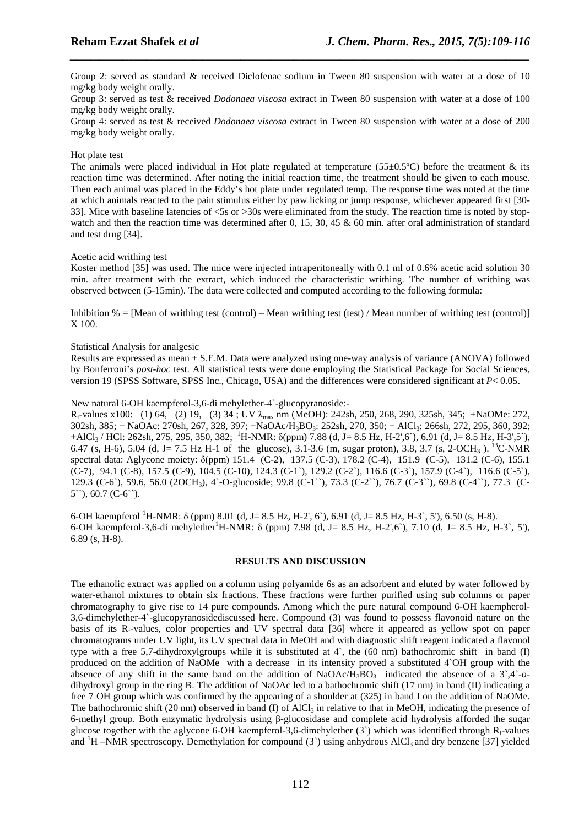Group 2: served as standard & received Diclofenac sodium in Tween 80 suspension with water at a dose of 10 mg/kg body weight orally.

*\_\_\_\_\_\_\_\_\_\_\_\_\_\_\_\_\_\_\_\_\_\_\_\_\_\_\_\_\_\_\_\_\_\_\_\_\_\_\_\_\_\_\_\_\_\_\_\_\_\_\_\_\_\_\_\_\_\_\_\_\_\_\_\_\_\_\_\_\_\_\_\_\_\_\_\_\_\_*

Group 3: served as test & received *Dodonaea viscosa* extract in Tween 80 suspension with water at a dose of 100 mg/kg body weight orally.

Group 4: served as test & received *Dodonaea viscosa* extract in Tween 80 suspension with water at a dose of 200 mg/kg body weight orally.

#### Hot plate test

The animals were placed individual in Hot plate regulated at temperature (55 $\pm$ 0.5°C) before the treatment & its reaction time was determined. After noting the initial reaction time, the treatment should be given to each mouse. Then each animal was placed in the Eddy's hot plate under regulated temp. The response time was noted at the time at which animals reacted to the pain stimulus either by paw licking or jump response, whichever appeared first [30- 33]. Mice with baseline latencies of <5s or >30s were eliminated from the study. The reaction time is noted by stopwatch and then the reaction time was determined after 0, 15, 30, 45  $\&$  60 min. after oral administration of standard and test drug [34].

#### Acetic acid writhing test

Koster method [35] was used. The mice were injected intraperitoneally with 0.1 ml of 0.6% acetic acid solution 30 min. after treatment with the extract, which induced the characteristic writhing. The number of writhing was observed between (5-15min). The data were collected and computed according to the following formula:

Inhibition  $% =$  [Mean of writhing test (control) – Mean writhing test (test) / Mean number of writhing test (control)] X 100.

#### Statistical Analysis for analgesic

Results are expressed as mean ± S.E.M. Data were analyzed using one-way analysis of variance (ANOVA) followed by Bonferroni's *post-hoc* test. All statistical tests were done employing the Statistical Package for Social Sciences, version 19 (SPSS Software, SPSS Inc., Chicago, USA) and the differences were considered significant at *P*< 0.05.

#### New natural 6-OH kaempferol-3,6-di mehylether-4`-glucopyranoside:-

 $R_f$ -values x100: (1) 64, (2) 19, (3) 34 ; UV  $\lambda_{\text{max}}$  nm (MeOH): 242sh, 250, 268, 290, 325sh, 345; +NaOMe: 272, 302sh, 385; + NaOAc: 270sh, 267, 328, 397; +NaOAc/H3BO3: 252sh, 270, 350; + AlCl3: 266sh, 272, 295, 360, 392;  $+ALCl<sub>3</sub>$  / HCl: 262sh, 275, 295, 350, 382; <sup>1</sup>H-NMR:  $\delta$ (ppm) 7.88 (d, J= 8.5 Hz, H-2',6'), 6.91 (d, J= 8.5 Hz, H-3',5'), 6.47 (s, H-6), 5.04 (d, J= 7.5 Hz H-1 of the glucose), 3.1-3.6 (m, sugar proton), 3.8, 3.7 (s, 2-OCH<sub>3</sub>).<sup>13</sup>C-NMR spectral data: Aglycone moiety: δ(ppm) 151.4 (C-2), 137.5 (C-3), 178.2 (C-4), 151.9 (C-5), 131.2 (C-6), 155.1 (C-7), 94.1 (C-8), 157.5 (C-9), 104.5 (C-10), 124.3 (C-1`), 129.2 (C-2`), 116.6 (C-3`), 157.9 (C-4`), 116.6 (C-5`), 129.3 (C-6`), 59.6, 56.0 (2OCH3), 4`-O-glucoside; 99.8 (C-1``), 73.3 (C-2``), 76.7 (C-3``), 69.8 (C-4``), 77.3 (C-5``), 60.7 (C-6``).

6-OH kaempferol <sup>1</sup>H-NMR: δ (ppm) 8.01 (d, J= 8.5 Hz, H-2', 6`), 6.91 (d, J= 8.5 Hz, H-3`, 5'), 6.50 (s, H-8). 6-OH kaempferol-3,6-di mehylether<sup>1</sup>H-NMR:  $\delta$  (ppm) 7.98 (d, J= 8.5 Hz, H-2',6'), 7.10 (d, J= 8.5 Hz, H-3', 5'), 6.89 (s, H-8).

#### **RESULTS AND DISCUSSION**

The ethanolic extract was applied on a column using polyamide 6s as an adsorbent and eluted by water followed by water-ethanol mixtures to obtain six fractions. These fractions were further purified using sub columns or paper chromatography to give rise to 14 pure compounds. Among which the pure natural compound 6-OH kaempherol-3,6-dimehylether-4`-glucopyranosidediscussed here. Compound (3) was found to possess flavonoid nature on the basis of its  $R_f$ -values, color properties and UV spectral data [36] where it appeared as yellow spot on paper chromatograms under UV light, its UV spectral data in MeOH and with diagnostic shift reagent indicated a flavonol type with a free 5,7-dihydroxylgroups while it is substituted at 4`, the (60 nm) bathochromic shift in band (I) produced on the addition of NaOMe with a decrease in its intensity proved a substituted 4`OH group with the absence of any shift in the same band on the addition of  $NaOAC/H<sub>3</sub>BO<sub>3</sub>$  indicated the absence of a  $3^{\circ},4^{\circ}-o$ dihydroxyl group in the ring B. The addition of NaOAc led to a bathochromic shift (17 nm) in band (II) indicating a free 7 OH group which was confirmed by the appearing of a shoulder at (325) in band I on the addition of NaOMe. The bathochromic shift (20 nm) observed in band (I) of  $AICI_3$  in relative to that in MeOH, indicating the presence of 6-methyl group. Both enzymatic hydrolysis using β-glucosidase and complete acid hydrolysis afforded the sugar glucose together with the aglycone 6-OH kaempferol-3,6-dimehylether  $(3^{\circ})$  which was identified through R<sub>f</sub>-values and  ${}^{1}H$  –NMR spectroscopy. Demethylation for compound (3) using anhydrous AlCl<sub>3</sub> and dry benzene [37] yielded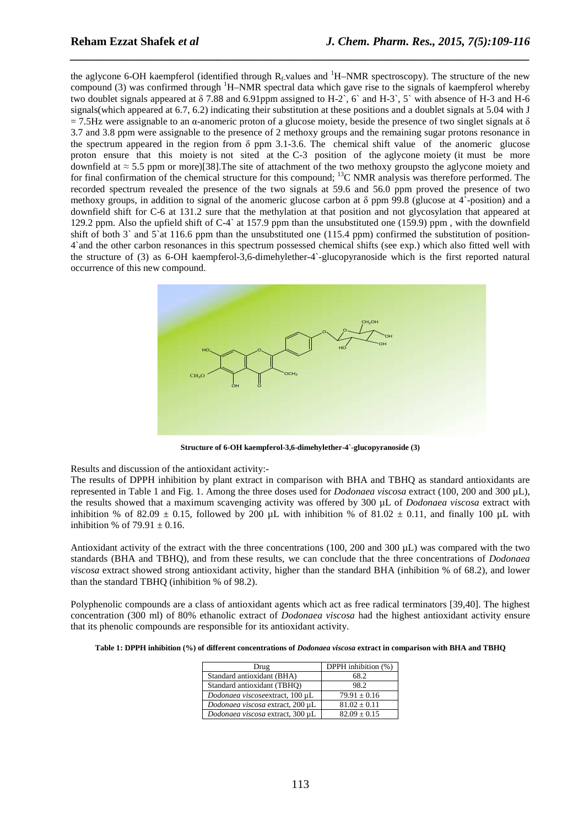the aglycone 6-OH kaempferol (identified through  $R_f$ -values and <sup>1</sup>H–NMR spectroscopy). The structure of the new compound (3) was confirmed through  $H-MMR$  spectral data which gave rise to the signals of kaempferol whereby two doublet signals appeared at δ 7.88 and 6.91ppm assigned to H-2`, 6` and H-3`, 5` with absence of H-3 and H-6 signals(which appeared at 6.7, 6.2) indicating their substitution at these positions and a doublet signals at 5.04 with J  $= 7.5$ Hz were assignable to an α-anomeric proton of a glucose moiety, beside the presence of two singlet signals at δ 3.7 and 3.8 ppm were assignable to the presence of 2 methoxy groups and the remaining sugar protons resonance in the spectrum appeared in the region from δ ppm 3.1-3.6. The chemical shift value of the anomeric glucose proton ensure that this moiety is not sited at the C-3 position of the aglycone moiety (it must be more downfield at ≈ 5.5 ppm or more)[38].The site of attachment of the two methoxy groupsto the aglycone moiety and for final confirmation of the chemical structure for this compound; <sup>13</sup>C NMR analysis was therefore performed. The recorded spectrum revealed the presence of the two signals at 59.6 and 56.0 ppm proved the presence of two methoxy groups, in addition to signal of the anomeric glucose carbon at δ ppm 99.8 (glucose at 4`-position) and a downfield shift for C-6 at 131.2 sure that the methylation at that position and not glycosylation that appeared at 129.2 ppm. Also the upfield shift of C-4` at 157.9 ppm than the unsubstituted one (159.9) ppm , with the downfield shift of both 3` and 5`at 116.6 ppm than the unsubstituted one (115.4 ppm) confirmed the substitution of position-4`and the other carbon resonances in this spectrum possessed chemical shifts (see exp.) which also fitted well with the structure of (3) as 6-OH kaempferol-3,6-dimehylether-4`-glucopyranoside which is the first reported natural occurrence of this new compound.

*\_\_\_\_\_\_\_\_\_\_\_\_\_\_\_\_\_\_\_\_\_\_\_\_\_\_\_\_\_\_\_\_\_\_\_\_\_\_\_\_\_\_\_\_\_\_\_\_\_\_\_\_\_\_\_\_\_\_\_\_\_\_\_\_\_\_\_\_\_\_\_\_\_\_\_\_\_\_*



**Structure of 6-OH kaempferol-3,6-dimehylether-4`-glucopyranoside (3)** 

Results and discussion of the antioxidant activity:-

The results of DPPH inhibition by plant extract in comparison with BHA and TBHQ as standard antioxidants are represented in Table 1 and Fig. 1. Among the three doses used for *Dodonaea viscosa* extract (100, 200 and 300 µL), the results showed that a maximum scavenging activity was offered by 300 µL of *Dodonaea viscosa* extract with inhibition % of 82.09  $\pm$  0.15, followed by 200 µL with inhibition % of 81.02  $\pm$  0.11, and finally 100 µL with inhibition % of  $79.91 \pm 0.16$ .

Antioxidant activity of the extract with the three concentrations (100, 200 and 300 µL) was compared with the two standards (BHA and TBHQ), and from these results, we can conclude that the three concentrations of *Dodonaea viscosa* extract showed strong antioxidant activity, higher than the standard BHA (inhibition % of 68.2), and lower than the standard TBHQ (inhibition % of 98.2).

Polyphenolic compounds are a class of antioxidant agents which act as free radical terminators [39,40]. The highest concentration (300 ml) of 80% ethanolic extract of *Dodonaea viscosa* had the highest antioxidant activity ensure that its phenolic compounds are responsible for its antioxidant activity.

**Table 1: DPPH inhibition (%) of different concentrations of** *Dodonaea viscosa* **extract in comparison with BHA and TBHQ** 

| Drug                             | DPPH inhibition (%) |
|----------------------------------|---------------------|
| Standard antioxidant (BHA)       | 68.2                |
| Standard antioxidant (TBHO)      | 98.2                |
| Dodonaea viscoseextract, 100 µL  | $79.91 \pm 0.16$    |
| Dodonaea viscosa extract, 200 µL | $81.02 \pm 0.11$    |
| Dodonaea viscosa extract, 300 µL | $82.09 \pm 0.15$    |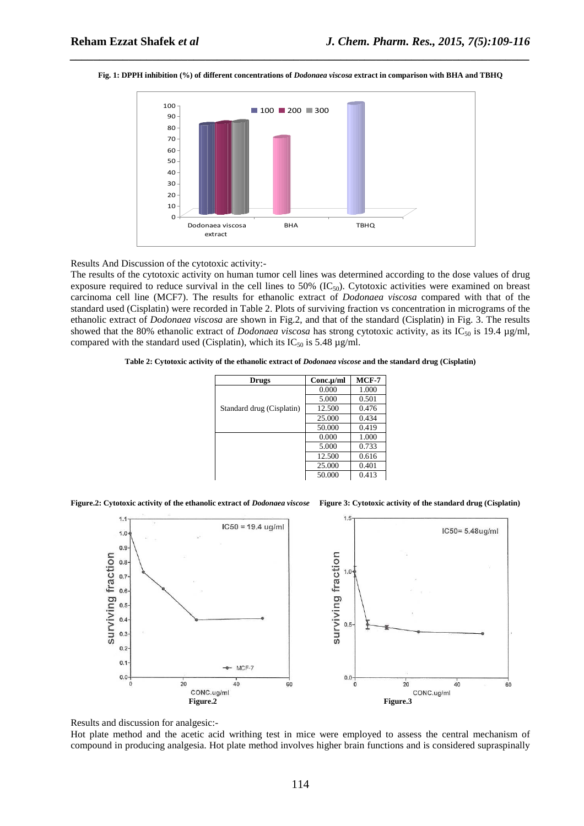

#### **Fig. 1: DPPH inhibition (%) of different concentrations of** *Dodonaea viscosa* **extract in comparison with BHA and TBHQ**

*\_\_\_\_\_\_\_\_\_\_\_\_\_\_\_\_\_\_\_\_\_\_\_\_\_\_\_\_\_\_\_\_\_\_\_\_\_\_\_\_\_\_\_\_\_\_\_\_\_\_\_\_\_\_\_\_\_\_\_\_\_\_\_\_\_\_\_\_\_\_\_\_\_\_\_\_\_\_*

Results And Discussion of the cytotoxic activity:-

The results of the cytotoxic activity on human tumor cell lines was determined according to the dose values of drug exposure required to reduce survival in the cell lines to  $50\%$  (IC<sub>50</sub>). Cytotoxic activities were examined on breast carcinoma cell line (MCF7). The results for ethanolic extract of *Dodonaea viscosa* compared with that of the standard used (Cisplatin) were recorded in Table 2. Plots of surviving fraction vs concentration in micrograms of the ethanolic extract of *Dodonaea viscosa* are shown in Fig.2, and that of the standard (Cisplatin) in Fig. 3. The results showed that the 80% ethanolic extract of *Dodonaea viscosa* has strong cytotoxic activity, as its IC<sub>50</sub> is 19.4 µg/ml, compared with the standard used (Cisplatin), which its  $IC_{50}$  is 5.48  $\mu$ g/ml.

**Table 2: Cytotoxic activity of the ethanolic extract of** *Dodonaea viscose* **and the standard drug (Cisplatin)** 

| <b>Drugs</b>              | $Conc.\mu/ml$ | $MCF-7$ |
|---------------------------|---------------|---------|
|                           | 0.000         | 1.000   |
| Standard drug (Cisplatin) | 5.000         | 0.501   |
|                           | 12.500        | 0.476   |
|                           | 25.000        | 0.434   |
|                           | 50.000        | 0.419   |
|                           | 0.000         | 1.000   |
|                           | 5.000         | 0.733   |
|                           | 12.500        | 0.616   |
|                           | 25.000        | 0.401   |
|                           | 50.000        | 0.413   |

**Figure.2: Cytotoxic activity of the ethanolic extract of** *Dodonaea viscose* **Figure 3: Cytotoxic activity of the standard drug (Cisplatin)** 



Results and discussion for analgesic:-

Hot plate method and the acetic acid writhing test in mice were employed to assess the central mechanism of compound in producing analgesia. Hot plate method involves higher brain functions and is considered supraspinally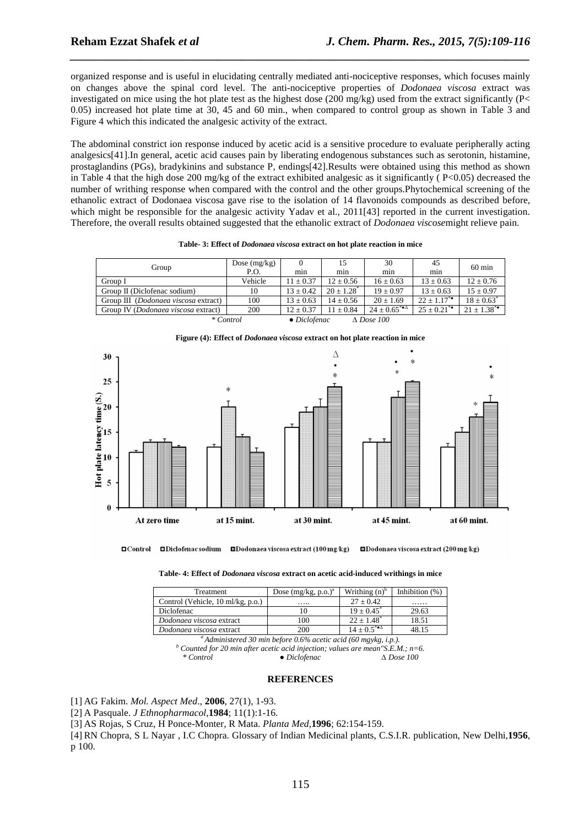organized response and is useful in elucidating centrally mediated anti-nociceptive responses, which focuses mainly on changes above the spinal cord level. The anti-nociceptive properties of *Dodonaea viscosa* extract was investigated on mice using the hot plate test as the highest dose (200 mg/kg) used from the extract significantly ( $P<$ 0.05) increased hot plate time at 30, 45 and 60 min., when compared to control group as shown in Table 3 and Figure 4 which this indicated the analgesic activity of the extract.

*\_\_\_\_\_\_\_\_\_\_\_\_\_\_\_\_\_\_\_\_\_\_\_\_\_\_\_\_\_\_\_\_\_\_\_\_\_\_\_\_\_\_\_\_\_\_\_\_\_\_\_\_\_\_\_\_\_\_\_\_\_\_\_\_\_\_\_\_\_\_\_\_\_\_\_\_\_\_*

The abdominal constrict ion response induced by acetic acid is a sensitive procedure to evaluate peripherally acting analgesics[41].In general, acetic acid causes pain by liberating endogenous substances such as serotonin, histamine, prostaglandins (PGs), bradykinins and substance P, endings[42].Results were obtained using this method as shown in Table 4 that the high dose 200 mg/kg of the extract exhibited analgesic as it significantly ( $P<0.05$ ) decreased the number of writhing response when compared with the control and the other groups.Phytochemical screening of the ethanolic extract of Dodonaea viscosa gave rise to the isolation of 14 flavonoids compounds as described before, which might be responsible for the analgesic activity Yadav et al., 2011[43] reported in the current investigation. Therefore, the overall results obtained suggested that the ethanolic extract of *Dodonaea viscose*might relieve pain.

|                                                           | Dose $(mg/kg)$ |               |               | 30                                                | 45                        | $60 \text{ min}$           |
|-----------------------------------------------------------|----------------|---------------|---------------|---------------------------------------------------|---------------------------|----------------------------|
| Group                                                     | P.O.           | min           | min           | min                                               | min                       |                            |
| Group I                                                   | Vehicle        | $11 \pm 0.37$ | $12 \pm 0.56$ | $16 \pm 0.63$                                     | $13 \pm 0.63$             | $12 \pm 0.76$              |
| Group II (Diclofenac sodium)                              | 10             | $13 \pm 0.42$ | $20 + 1.28^*$ | $19 \pm 0.97$                                     | $13 \pm 0.63$             | $15 \pm 0.97$              |
| Group III ( <i>Dodonaea viscosa</i> extract)              | 100            | $13 \pm 0.63$ | $14 \pm 0.56$ | $20 + 1.69$                                       | $22 + 1.17$ <sup>**</sup> | $18 \pm 0.63$ <sup>*</sup> |
| Group IV ( <i>Dodonaea viscosa</i> extract)               | 200            | $12 + 0.37$   | $11 + 0.84$   | $24 + 0.65^{*}$ <sup><math>\triangle</math></sup> | $25 + 0.21$ **            | $21 \pm 1.38$ *            |
| * Control<br>$\bullet$ Diclofenac<br>$\triangle$ Dose 100 |                |               |               |                                                   |                           |                            |

|  | Table-3: Effect of <i>Dodonaea viscosa</i> extract on hot plate reaction in mice |
|--|----------------------------------------------------------------------------------|
|--|----------------------------------------------------------------------------------|







**Table- 4: Effect of** *Dodonaea viscosa* **extract on acetic acid-induced writhings in mice** 

| Treatment                                                          | Dose $(mg/kg, p.o.)^a$ | Writhing $(n)^b$                                   | Inhibition $(\%)$ |  |  |
|--------------------------------------------------------------------|------------------------|----------------------------------------------------|-------------------|--|--|
| Control (Vehicle, 10 ml/kg, p.o.)                                  | .                      | $27 + 0.42$                                        | .                 |  |  |
| Diclofenac                                                         | 10                     | $19 + 0.45^*$                                      | 29.63             |  |  |
| Dodonaea viscosa extract                                           | 100                    | $22 + 1.48$ <sup>*</sup>                           | 18.51             |  |  |
| Dodonaea viscosa extract                                           | 200                    | $14 \pm 0.5^{*}$ <sup><math>\triangle</math></sup> | 48.15             |  |  |
| $^a$ Administered 30 min before 0.6% acetic acid (60 mgykg, i.p.). |                        |                                                    |                   |  |  |

*b* Counted for 20 min after acetic acid injection; values are mean"S.E.M.; n=6.<br> *\** Control ● Diclofenac *∆ Dose 100* 

#### **REFERENCES**

[1] AG Fakim. *Mol. Aspect Med*., **2006**, 27(1), 1-93.

[2] A Pasquale. *J Ethnopharmacol*,**1984**; 11(1):1-16.

[3] AS Rojas, S Cruz, H Ponce-Monter, R Mata. *Planta Med*,**1996**; 62:154-159.

[4] RN Chopra, S L Nayar , I.C Chopra. Glossary of Indian Medicinal plants, C.S.I.R. publication, New Delhi,**1956**, p 100.